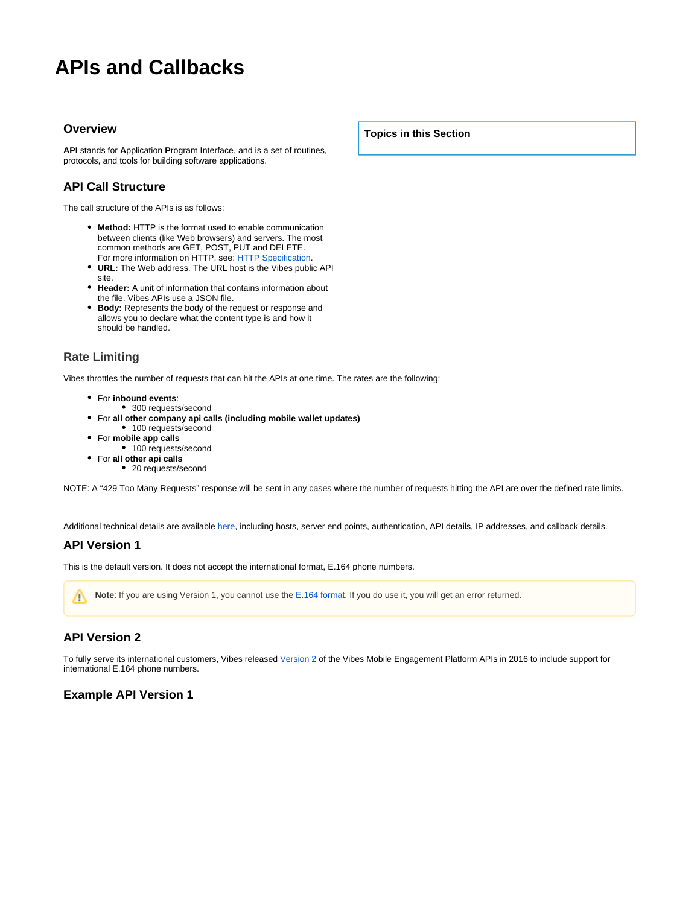# **APIs and Callbacks**

#### **Overview**

**API** stands for **A**pplication **P**rogram **I**nterface, and is a set of routines, protocols, and tools for building software applications.

## **API Call Structure**

The call structure of the APIs is as follows:

- **Method:** HTTP is the format used to enable communication between clients (like Web browsers) and servers. The most common methods are GET, POST, PUT and DELETE. For more information on HTTP, see: [HTTP Specification.](https://tools.ietf.org/html/rfc2616)
- **URL:** The Web address. The URL host is the Vibes public API site.
- **Header:** A unit of information that contains information about the file. Vibes APIs use a JSON file.
- **Body:** Represents the body of the request or response and allows you to declare what the content type is and how it should be handled.

## **Rate Limiting**

Vibes throttles the number of requests that can hit the APIs at one time. The rates are the following:

- For **inbound events**:
- 300 requests/second
- For **all other company api calls (including mobile wallet updates)** • 100 requests/second
- For **mobile app calls**
- 100 requests/second
- For **all other api calls**
	- 20 requests/second

NOTE: A "429 Too Many Requests" response will be sent in any cases where the number of requests hitting the API are over the defined rate limits.

Additional technical details are available [here,](https://developer.vibes.com/display/APIs/Technical+Details) including hosts, server end points, authentication, API details, IP addresses, and callback details.

#### **API Version 1**

This is the default version. It does not accept the international format, E.164 phone numbers.

**Note**: If you are using Version 1, you cannot use the [E.164 format.](https://developer.vibes.com/display/APIs/E.164+Support+for+Platform+APIs) If you do use it, you will get an error returned.Δ

# **API Version 2**

To fully serve its international customers, Vibes released [Version 2](https://developer.vibes.com/display/APIs/What%27s+in+Version+2) of the Vibes Mobile Engagement Platform APIs in 2016 to include support for international E.164 phone numbers.

### **Example API Version 1**

**Topics in this Section**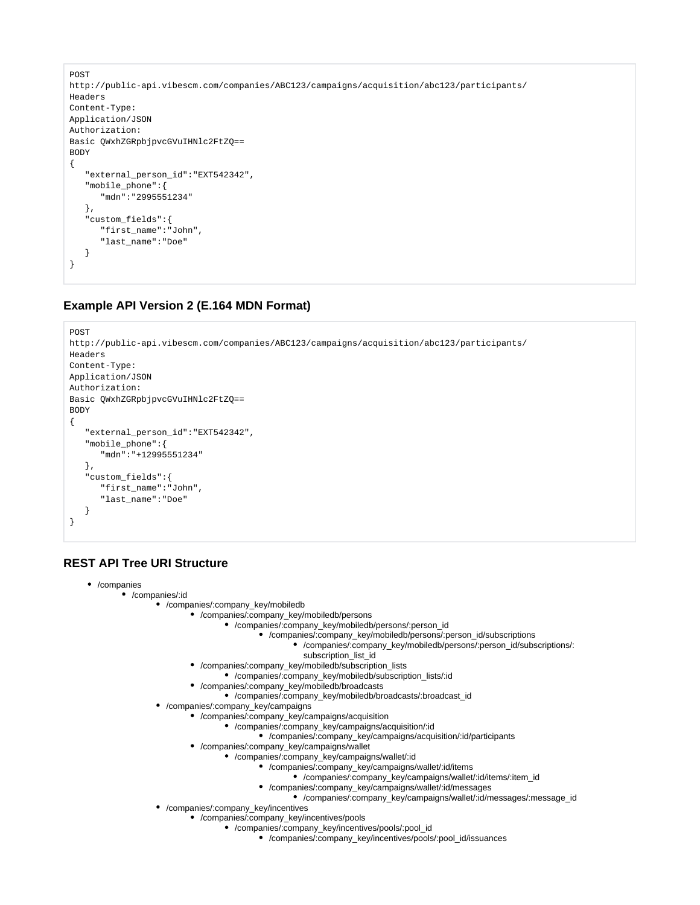```
POST
http://public-api.vibescm.com/companies/ABC123/campaigns/acquisition/abc123/participants/
Headers
Content-Type:
Application/JSON
Authorization:
Basic QWxhZGRpbjpvcGVuIHNlc2FtZQ==
BODY
{
    "external_person_id":"EXT542342",
    "mobile_phone":{
       "mdn":"2995551234"
    },
    "custom_fields":{
       "first_name":"John",
       "last_name":"Doe"
    }
}
```
# **Example API Version 2 (E.164 MDN Format)**

```
POST
http://public-api.vibescm.com/companies/ABC123/campaigns/acquisition/abc123/participants/
Headers
Content-Type:
Application/JSON
Authorization:
Basic QWxhZGRpbjpvcGVuIHNlc2FtZQ==
BODY
{
    "external_person_id":"EXT542342",
    "mobile_phone":{
       "mdn":"+12995551234"
    },
    "custom_fields":{
       "first_name":"John",
       "last_name":"Doe"
    }
}
```
# **REST API Tree URI Structure**

```
/companies
```
- /companies/:id
	- /companies/:company\_key/mobiledb
		- /companies/:company\_key/mobiledb/persons
			- /companies/:company\_key/mobiledb/persons/:person\_id
				- /companies/:company\_key/mobiledb/persons/:person\_id/subscriptions
					- /companies/:company\_key/mobiledb/persons/:person\_id/subscriptions/: subscription\_list\_id
					-
		- /companies/:company\_key/mobiledb/subscription\_lists
			- /companies/:company\_key/mobiledb/subscription\_lists/:id
		- /companies/:company\_key/mobiledb/broadcasts
		- /companies/:company\_key/mobiledb/broadcasts/:broadcast\_id
	- /companies/:company\_key/campaigns
		- /companies/:company\_key/campaigns/acquisition
			- /companies/:company\_key/campaigns/acquisition/:id
			- /companies/:company\_key/campaigns/acquisition/:id/participants
		- /companies/:company\_key/campaigns/wallet
			- /companies/:company\_key/campaigns/wallet/:id
				- /companies/:company\_key/campaigns/wallet/:id/items
					- /companies/:company\_key/campaigns/wallet/:id/items/:item\_id
				- /companies/:company\_key/campaigns/wallet/:id/messages
					- /companies/:company\_key/campaigns/wallet/:id/messages/:message\_id
	- /companies/:company\_key/incentives
		- /companies/:company\_key/incentives/pools
			- /companies/:company\_key/incentives/pools/:pool\_id
				- /companies/:company\_key/incentives/pools/:pool\_id/issuances